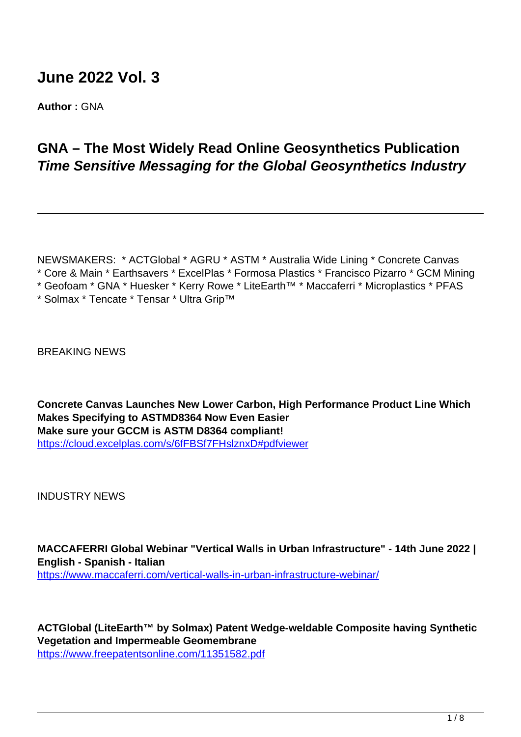# **June 2022 Vol. 3**

**Author :** GNA

## **GNA – The Most Widely Read Online Geosynthetics Publication Time Sensitive Messaging for the Global Geosynthetics Industry**

NEWSMAKERS: \* ACTGlobal \* AGRU \* ASTM \* Australia Wide Lining \* Concrete Canvas \* Core & Main \* Earthsavers \* ExcelPlas \* Formosa Plastics \* Francisco Pizarro \* GCM Mining

\* Geofoam \* GNA \* Huesker \* Kerry Rowe \* LiteEarth™ \* Maccaferri \* Microplastics \* PFAS

\* Solmax \* Tencate \* Tensar \* Ultra Grip™

BREAKING NEWS

**Concrete Canvas Launches New Lower Carbon, High Performance Product Line Which Makes Specifying to ASTMD8364 Now Even Easier Make sure your GCCM is ASTM D8364 compliant!** <https://cloud.excelplas.com/s/6fFBSf7FHslznxD#pdfviewer>

INDUSTRY NEWS

**MACCAFERRI Global Webinar "Vertical Walls in Urban Infrastructure" - 14th June 2022 | English - Spanish - Italian**

https://www.maccaferri.com/vertical-walls-in-urban-infrastructure-webinar/

**ACTGlobal (LiteEarth™ by Solmax) Patent Wedge-weldable Composite having Synthetic Vegetation and Impermeable Geomembrane** https://www.freepatentsonline.com/11351582.pdf

 $1/8$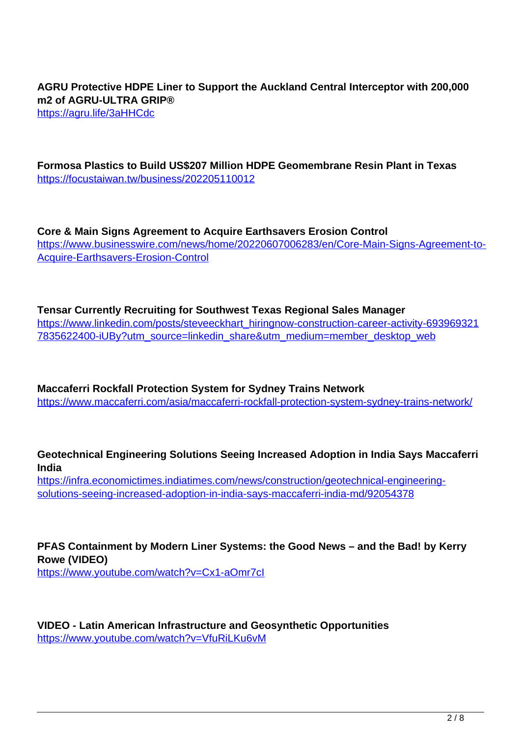**AGRU Protective HDPE Liner to Support the Auckland Central Interceptor with 200,000 m2 of AGRU-ULTRA GRIP®**

https://agru.life/3aHHCdc

**Formosa Plastics to Build US\$207 Million HDPE Geomembrane Resin Plant in Texas** https://focustaiwan.tw/business/202205110012

**Core & Main Signs Agreement to Acquire Earthsavers Erosion Control** https://www.businesswire.com/news/home/20220607006283/en/Core-Main-Signs-Agreement-to-Acquire-Earthsavers-Erosion-Control

**Tensar Currently Recruiting for Southwest Texas Regional Sales Manager** https://www.linkedin.com/posts/steveeckhart\_hiringnow-construction-career-activity-693969321 7835622400-iUBy?utm\_source=linkedin\_share&utm\_medium=member\_desktop\_web

**Maccaferri Rockfall Protection System for Sydney Trains Network** https://www.maccaferri.com/asia/maccaferri-rockfall-protection-system-sydney-trains-network/

**Geotechnical Engineering Solutions Seeing Increased Adoption in India Says Maccaferri India**

https://infra.economictimes.indiatimes.com/news/construction/geotechnical-engineeringsolutions-seeing-increased-adoption-in-india-says-maccaferri-india-md/92054378

**PFAS Containment by Modern Liner Systems: the Good News – and the Bad! by Kerry Rowe (VIDEO)**

https://www.youtube.com/watch?v=Cx1-aOmr7cI

**VIDEO - Latin American Infrastructure and Geosynthetic Opportunities** https://www.youtube.com/watch?v=VfuRiLKu6vM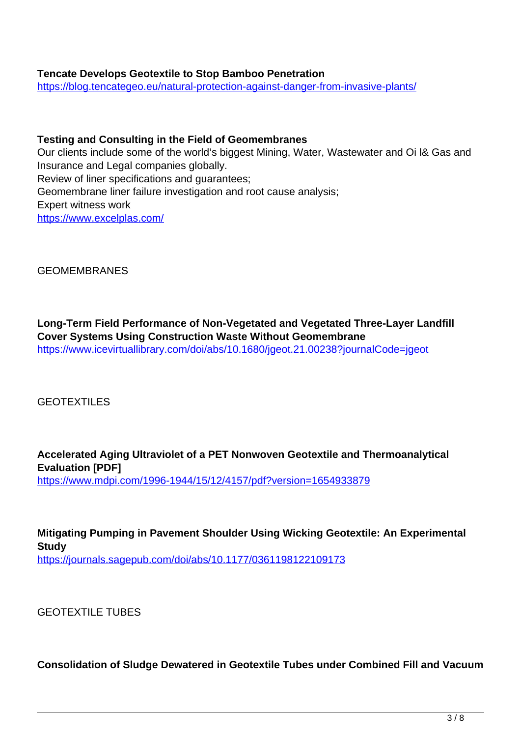## **Tencate Develops Geotextile to Stop Bamboo Penetration**

https://blog.tencategeo.eu/natural-protection-against-danger-from-invasive-plants/

#### **Testing and Consulting in the Field of Geomembranes**

Our clients include some of the world's biggest Mining, Water, Wastewater and Oi l& Gas and Insurance and Legal companies globally. Review of liner specifications and guarantees; Geomembrane liner failure investigation and root cause analysis; Expert witness work https://www.excelplas.com/

GEOMEMBRANES

**Long-Term Field Performance of Non-Vegetated and Vegetated Three-Layer Landfill Cover Systems Using Construction Waste Without Geomembrane** https://www.icevirtuallibrary.com/doi/abs/10.1680/jgeot.21.00238?journalCode=jgeot

GEOTEXTILES

**Accelerated Aging Ultraviolet of a PET Nonwoven Geotextile and Thermoanalytical Evaluation [PDF]** https://www.mdpi.com/1996-1944/15/12/4157/pdf?version=1654933879

**Mitigating Pumping in Pavement Shoulder Using Wicking Geotextile: An Experimental Study** https://journals.sagepub.com/doi/abs/10.1177/0361198122109173

GEOTEXTILE TUBES

**Consolidation of Sludge Dewatered in Geotextile Tubes under Combined Fill and Vacuum**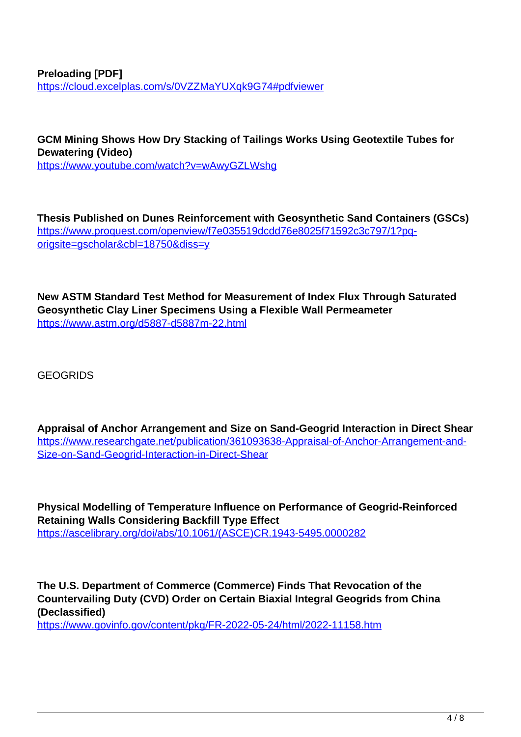**Preloading [PDF]** https://cloud.excelplas.com/s/0VZZMaYUXqk9G74#pdfviewer

**GCM Mining Shows How Dry Stacking of Tailings Works Using Geotextile Tubes for Dewatering (Video)** https://www.youtube.com/watch?v=wAwyGZLWshg

**Thesis Published on Dunes Reinforcement with Geosynthetic Sand Containers (GSCs)** https://www.proquest.com/openview/f7e035519dcdd76e8025f71592c3c797/1?pqorigsite=gscholar&cbl=18750&diss=y

**New ASTM Standard Test Method for Measurement of Index Flux Through Saturated Geosynthetic Clay Liner Specimens Using a Flexible Wall Permeameter** https://www.astm.org/d5887-d5887m-22.html

**GEOGRIDS** 

**Appraisal of Anchor Arrangement and Size on Sand-Geogrid Interaction in Direct Shear** https://www.researchgate.net/publication/361093638-Appraisal-of-Anchor-Arrangement-and-Size-on-Sand-Geogrid-Interaction-in-Direct-Shear

**Physical Modelling of Temperature Influence on Performance of Geogrid-Reinforced Retaining Walls Considering Backfill Type Effect** https://ascelibrary.org/doi/abs/10.1061/(ASCE)CR.1943-5495.0000282

**The U.S. Department of Commerce (Commerce) Finds That Revocation of the Countervailing Duty (CVD) Order on Certain Biaxial Integral Geogrids from China (Declassified)**

https://www.govinfo.gov/content/pkg/FR-2022-05-24/html/2022-11158.htm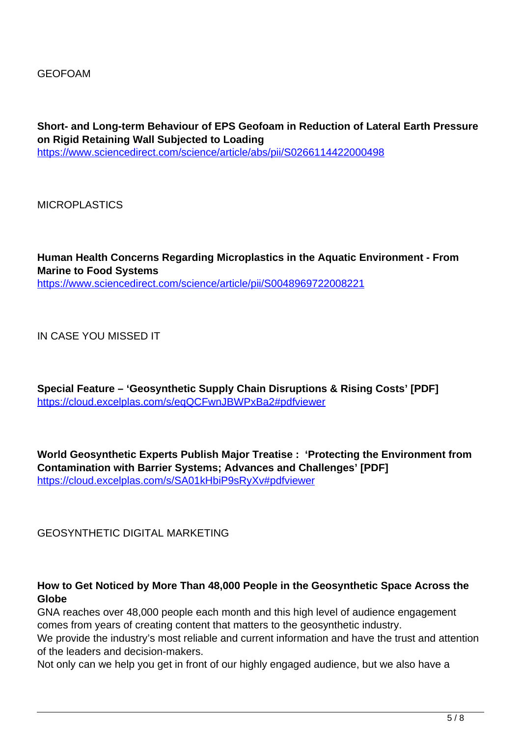**Short- and Long-term Behaviour of EPS Geofoam in Reduction of Lateral Earth Pressure on Rigid Retaining Wall Subjected to Loading** https://www.sciencedirect.com/science/article/abs/pii/S0266114422000498

**MICROPLASTICS** 

**Human Health Concerns Regarding Microplastics in the Aquatic Environment - From Marine to Food Systems** https://www.sciencedirect.com/science/article/pii/S0048969722008221

IN CASE YOU MISSED IT

**Special Feature – 'Geosynthetic Supply Chain Disruptions & Rising Costs' [PDF]** https://cloud.excelplas.com/s/eqQCFwnJBWPxBa2#pdfviewer

**World Geosynthetic Experts Publish Major Treatise : 'Protecting the Environment from Contamination with Barrier Systems; Advances and Challenges' [PDF]** https://cloud.excelplas.com/s/SA01kHbiP9sRyXv#pdfviewer

GEOSYNTHETIC DIGITAL MARKETING

#### **How to Get Noticed by More Than 48,000 People in the Geosynthetic Space Across the Globe**

GNA reaches over 48,000 people each month and this high level of audience engagement comes from years of creating content that matters to the geosynthetic industry.

We provide the industry's most reliable and current information and have the trust and attention of the leaders and decision-makers.

Not only can we help you get in front of our highly engaged audience, but we also have a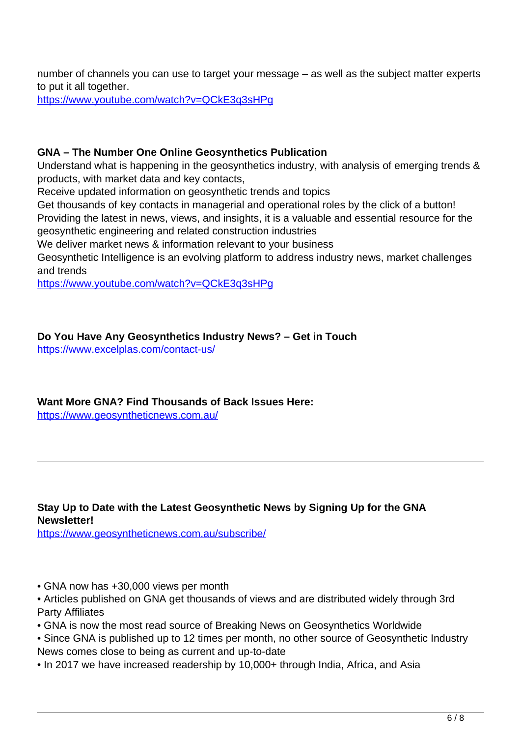number of channels you can use to target your message – as well as the subject matter experts to put it all together.

https://www.youtube.com/watch?v=QCkE3q3sHPg

## **GNA – The Number One Online Geosynthetics Publication**

Understand what is happening in the geosynthetics industry, with analysis of emerging trends & products, with market data and key contacts,

Receive updated information on geosynthetic trends and topics

Get thousands of key contacts in managerial and operational roles by the click of a button! Providing the latest in news, views, and insights, it is a valuable and essential resource for the geosynthetic engineering and related construction industries

We deliver market news & information relevant to your business

Geosynthetic Intelligence is an evolving platform to address industry news, market challenges and trends

https://www.youtube.com/watch?v=QCkE3q3sHPg

## **Do You Have Any Geosynthetics Industry News? – Get in Touch**

https://www.excelplas.com/contact-us/

## **Want More GNA? Find Thousands of Back Issues Here:**

https://www.geosyntheticnews.com.au/

## **Stay Up to Date with the Latest Geosynthetic News by Signing Up for the GNA Newsletter!**

https://www.geosyntheticnews.com.au/subscribe/

- GNA now has +30,000 views per month
- Articles published on GNA get thousands of views and are distributed widely through 3rd Party Affiliates
- GNA is now the most read source of Breaking News on Geosynthetics Worldwide
- Since GNA is published up to 12 times per month, no other source of Geosynthetic Industry News comes close to being as current and up-to-date
- In 2017 we have increased readership by 10,000+ through India, Africa, and Asia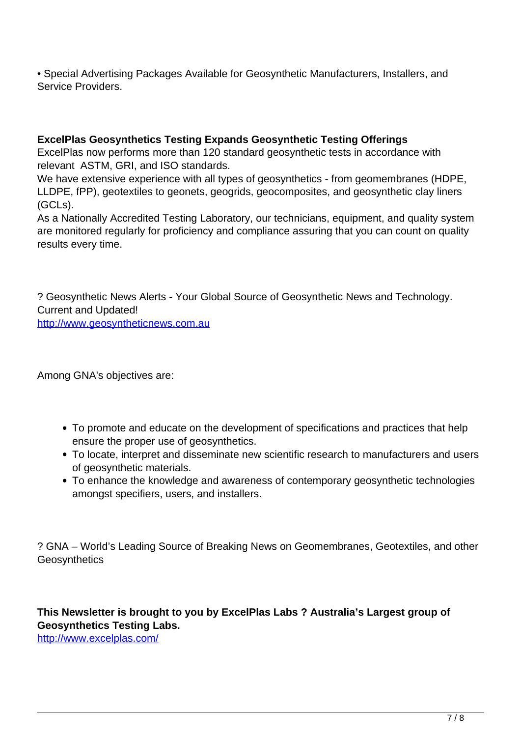• Special Advertising Packages Available for Geosynthetic Manufacturers, Installers, and Service Providers.

### **ExcelPlas Geosynthetics Testing Expands Geosynthetic Testing Offerings**

ExcelPlas now performs more than 120 standard geosynthetic tests in accordance with relevant ASTM, GRI, and ISO standards.

We have extensive experience with all types of geosynthetics - from geomembranes (HDPE, LLDPE, fPP), geotextiles to geonets, geogrids, geocomposites, and geosynthetic clay liners (GCLs).

As a Nationally Accredited Testing Laboratory, our technicians, equipment, and quality system are monitored regularly for proficiency and compliance assuring that you can count on quality results every time.

? Geosynthetic News Alerts - Your Global Source of Geosynthetic News and Technology. Current and Updated! http://www.geosyntheticnews.com.au

Among GNA's objectives are:

- To promote and educate on the development of specifications and practices that help ensure the proper use of geosynthetics.
- To locate, interpret and disseminate new scientific research to manufacturers and users of geosynthetic materials.
- To enhance the knowledge and awareness of contemporary geosynthetic technologies amongst specifiers, users, and installers.

? GNA – World's Leading Source of Breaking News on Geomembranes, Geotextiles, and other **Geosynthetics** 

**This Newsletter is brought to you by ExcelPlas Labs ? Australia's Largest group of Geosynthetics Testing Labs.**

http://www.excelplas.com/